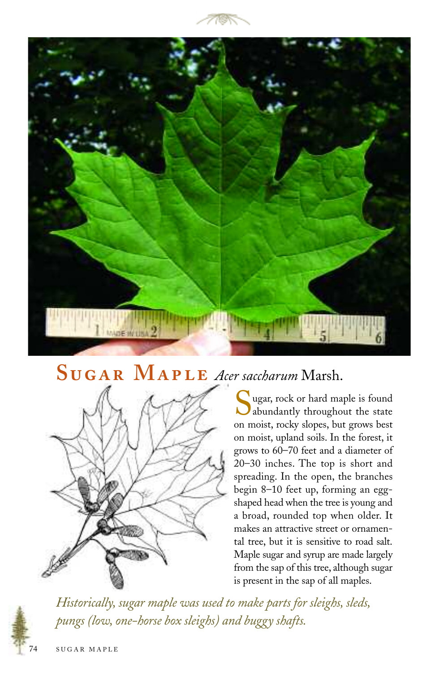

## $S$ **UGAR MAPLE** *Acer saccharum* Marsh.



ugar, rock or hard maple is found abundantly throughout the state on moist, rocky slopes, but grows best on moist, upland soils. In the forest, it grows to 60–70 feet and a diameter of 20–30 inches. The top is short and spreading. In the open, the branches begin 8–10 feet up, forming an eggshaped head when the tree is young and a broad, rounded top when older. It makes an attractive street or ornamental tree, but it is sensitive to road salt. Maple sugar and syrup are made largely from the sap of this tree, although sugar is present in the sap of all maples.

*Historically, sugar maple was used to make parts for sleighs, sleds, pungs (low, one-horse box sleighs) and buggy shafts.*

74